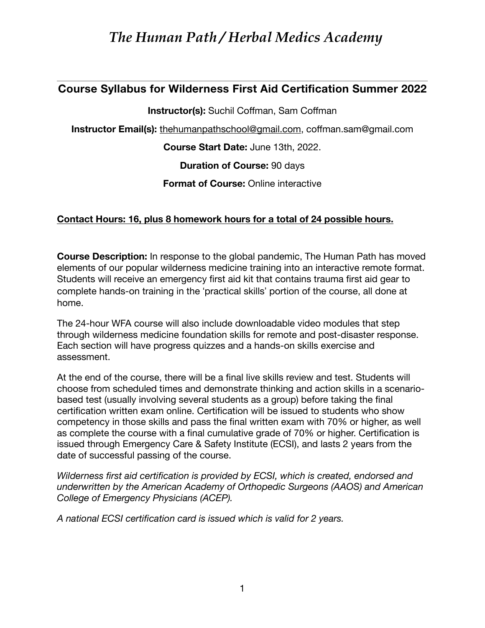## **Course Syllabus for Wilderness First Aid Certification Summer 2022**

**Instructor(s):** Suchil Coffman, Sam Coffman

**Instructor Email(s):** [thehumanpathschool@gmail.com](mailto:thehumanpathschool@gmail.com), coffman.sam@gmail.com

**Course Start Date:** June 13th, 2022.

**Duration of Course:** 90 days

**Format of Course: Online interactive** 

### **Contact Hours: 16, plus 8 homework hours for a total of 24 possible hours.**

**Course Description:** In response to the global pandemic, The Human Path has moved elements of our popular wilderness medicine training into an interactive remote format. Students will receive an emergency first aid kit that contains trauma first aid gear to complete hands-on training in the 'practical skills' portion of the course, all done at home.

The 24-hour WFA course will also include downloadable video modules that step through wilderness medicine foundation skills for remote and post-disaster response. Each section will have progress quizzes and a hands-on skills exercise and assessment.

At the end of the course, there will be a final live skills review and test. Students will choose from scheduled times and demonstrate thinking and action skills in a scenariobased test (usually involving several students as a group) before taking the final certification written exam online. Certification will be issued to students who show competency in those skills and pass the final written exam with 70% or higher, as well as complete the course with a final cumulative grade of 70% or higher. Certification is issued through Emergency Care & Safety Institute (ECSI), and lasts 2 years from the date of successful passing of the course.

*Wilderness first aid certification is provided by ECSI, which is created, endorsed and underwritten by the American Academy of Orthopedic Surgeons (AAOS) and American College of Emergency Physicians (ACEP).*

*A national ECSI certification card is issued which is valid for 2 years.*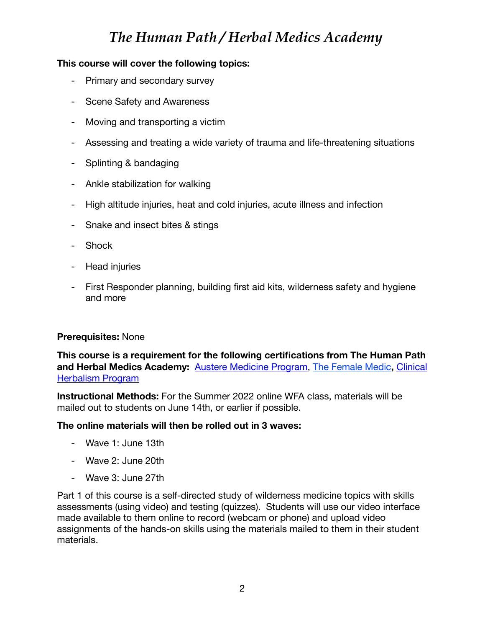### **This course will cover the following topics:**

- Primary and secondary survey
- Scene Safety and Awareness
- Moving and transporting a victim
- Assessing and treating a wide variety of trauma and life-threatening situations
- Splinting & bandaging
- Ankle stabilization for walking
- High altitude injuries, heat and cold injuries, acute illness and infection
- Snake and insect bites & stings
- Shock
- Head injuries
- First Responder planning, building first aid kits, wilderness safety and hygiene and more

#### **Prerequisites:** None

**This course is a requirement for the following certifications from The Human Path and Herbal Medics Academy:** [Austere Medicine Program](https://herbalmedics.academy/austere-medicine-program-2021/), [The Female Medic](https://herbalmedics.academy/female-medic-program/)**,** [Clinical](https://herbalmedics.academy/courses/herbal-clinician-program/)  [Herbalism Program](https://herbalmedics.academy/courses/herbal-clinician-program/)

**Instructional Methods:** For the Summer 2022 online WFA class, materials will be mailed out to students on June 14th, or earlier if possible.

#### **The online materials will then be rolled out in 3 waves:**

- Wave 1: June 13th
- Wave 2: June 20th
- Wave 3: June 27th

Part 1 of this course is a self-directed study of wilderness medicine topics with skills assessments (using video) and testing (quizzes). Students will use our video interface made available to them online to record (webcam or phone) and upload video assignments of the hands-on skills using the materials mailed to them in their student materials.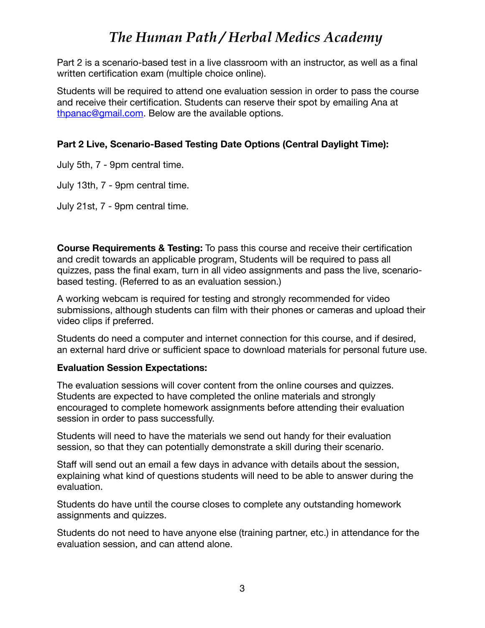Part 2 is a scenario-based test in a live classroom with an instructor, as well as a final written certification exam (multiple choice online).

Students will be required to attend one evaluation session in order to pass the course and receive their certification. Students can reserve their spot by emailing Ana at [thpanac@gmail.com.](mailto:thpanac@gmail.com) Below are the available options.

## **Part 2 Live, Scenario-Based Testing Date Options (Central Daylight Time):**

July 5th, 7 - 9pm central time.

July 13th, 7 - 9pm central time.

July 21st, 7 - 9pm central time.

**Course Requirements & Testing:** To pass this course and receive their certification and credit towards an applicable program, Students will be required to pass all quizzes, pass the final exam, turn in all video assignments and pass the live, scenariobased testing. (Referred to as an evaluation session.)

A working webcam is required for testing and strongly recommended for video submissions, although students can film with their phones or cameras and upload their video clips if preferred.

Students do need a computer and internet connection for this course, and if desired, an external hard drive or sufficient space to download materials for personal future use.

### **Evaluation Session Expectations:**

The evaluation sessions will cover content from the online courses and quizzes. Students are expected to have completed the online materials and strongly encouraged to complete homework assignments before attending their evaluation session in order to pass successfully.

Students will need to have the materials we send out handy for their evaluation session, so that they can potentially demonstrate a skill during their scenario.

Staff will send out an email a few days in advance with details about the session, explaining what kind of questions students will need to be able to answer during the evaluation.

Students do have until the course closes to complete any outstanding homework assignments and quizzes.

Students do not need to have anyone else (training partner, etc.) in attendance for the evaluation session, and can attend alone.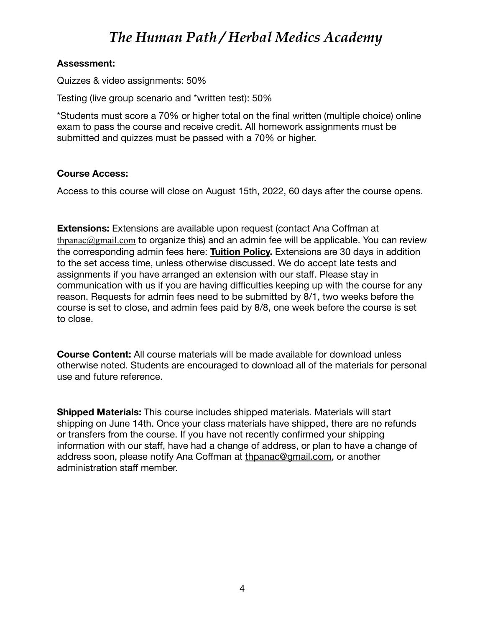#### **Assessment:**

Quizzes & video assignments: 50%

Testing (live group scenario and \*written test): 50%

\*Students must score a 70% or higher total on the final written (multiple choice) online exam to pass the course and receive credit. All homework assignments must be submitted and quizzes must be passed with a 70% or higher.

### **Course Access:**

Access to this course will close on August 15th, 2022, 60 days after the course opens.

**Extensions:** Extensions are available upon request (contact Ana Coffman at thpanac $@g$ mail.com to organize this) and an admin fee will be applicable. You can review the corresponding admin fees here: **[Tuition Policy.](https://herbalmedics.academy/about-us/tuition-policies/)** Extensions are 30 days in addition to the set access time, unless otherwise discussed. We do accept late tests and assignments if you have arranged an extension with our staff. Please stay in communication with us if you are having difficulties keeping up with the course for any reason. Requests for admin fees need to be submitted by 8/1, two weeks before the course is set to close, and admin fees paid by 8/8, one week before the course is set to close.

**Course Content:** All course materials will be made available for download unless otherwise noted. Students are encouraged to download all of the materials for personal use and future reference.

**Shipped Materials:** This course includes shipped materials. Materials will start shipping on June 14th. Once your class materials have shipped, there are no refunds or transfers from the course. If you have not recently confirmed your shipping information with our staff, have had a change of address, or plan to have a change of address soon, please notify Ana Coffman at [thpanac@gmail.com,](mailto:thpanac@gmail.com) or another administration staff member.